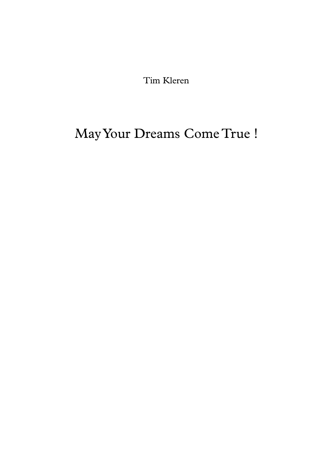Tim Kleren

## MayYour Dreams Come True !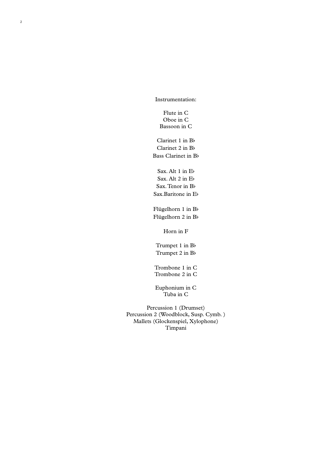Instrumentation:

Flute in C Oboe in C Bassoon in C

Clarinet 1 in Bb Clarinet 2 in Bb Bass Clarinet in Bb

Sax. Alt 1 in Eb Sax. Alt 2 in Eb Sax.Tenor in Bb Sax.Baritone in Eb

Flügelhorn 1 in Bb Flügelhorn 2 in Bb

Horn in F

Trumpet 1 in Bb Trumpet 2 in Bb

Trombone 1 in C Trombone 2 in C

Euphonium in C Tuba in C

Percussion 1 (Drumset) Percussion 2 (Woodblock, Susp. Cymb. ) Mallets (Glockenspiel, Xylophone) Timpani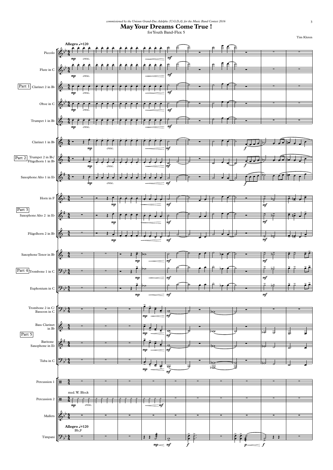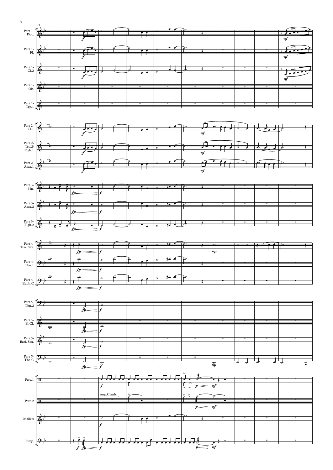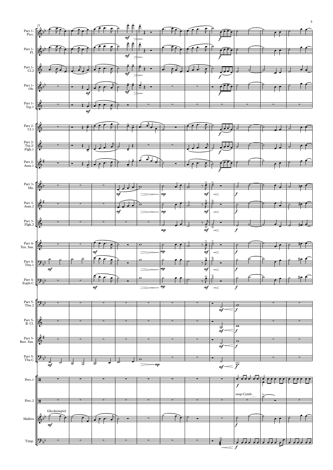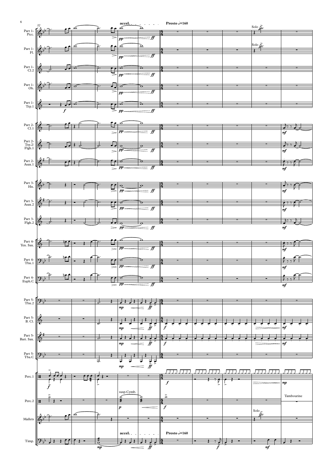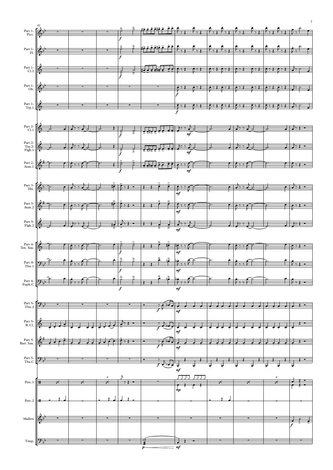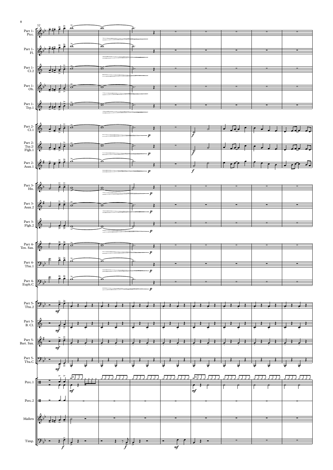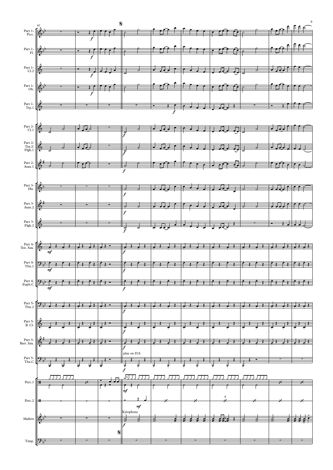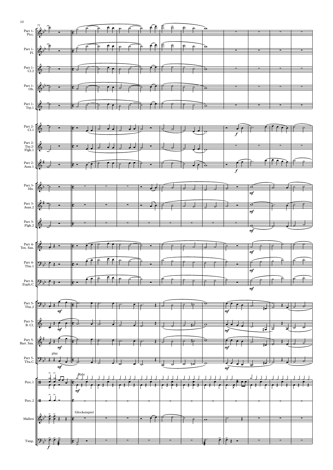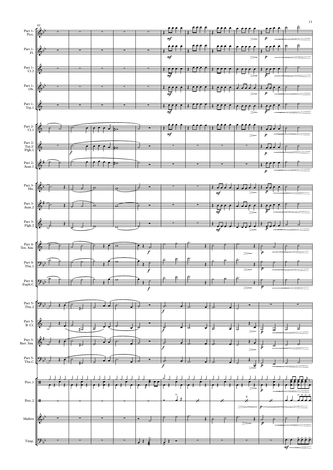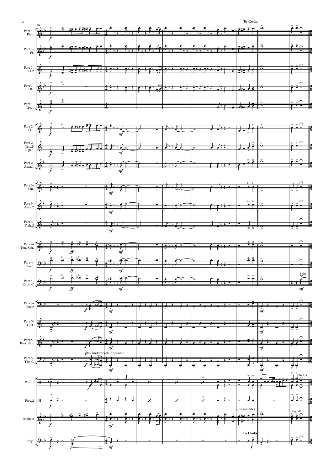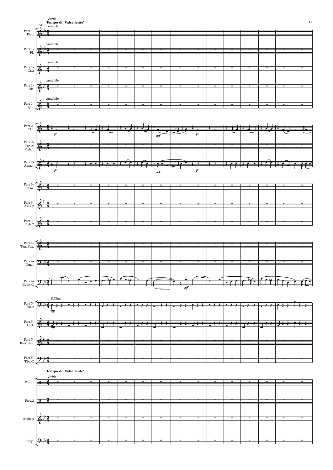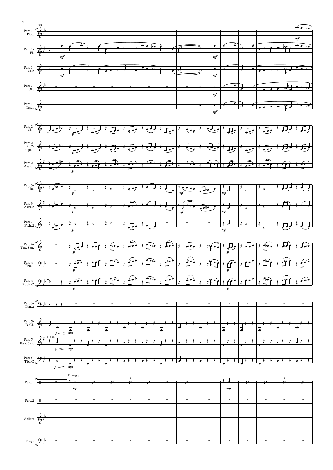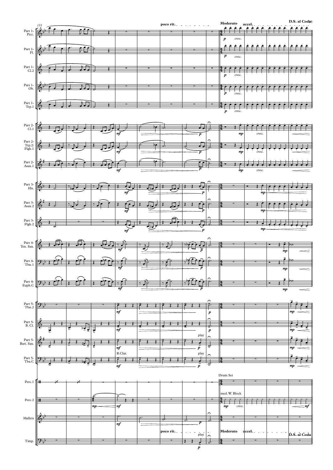